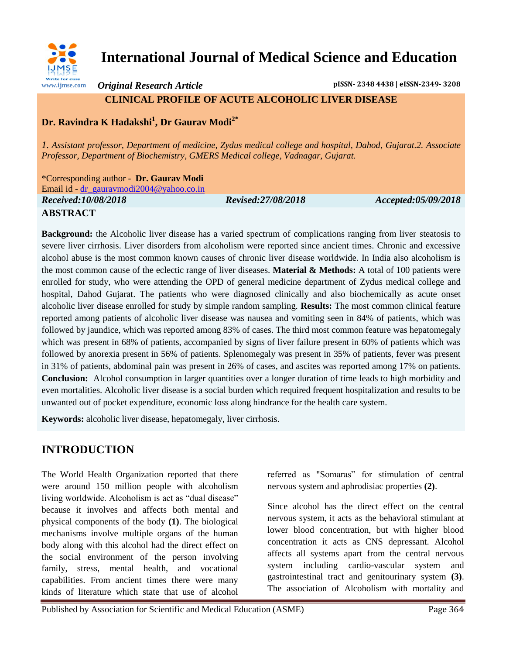

# **International Journal of Medical Science and Education**

*Original Research Article* **pISSN- 2348 4438 | eISSN-2349- 3208**

## **CLINICAL PROFILE OF ACUTE ALCOHOLIC LIVER DISEASE**

# **Dr. Ravindra K Hadakshi<sup>1</sup> , Dr Gaurav Modi2\***

*1. Assistant professor, Department of medicine, Zydus medical college and hospital, Dahod, Gujarat.2. Associate Professor, Department of Biochemistry, GMERS Medical college, Vadnagar, Gujarat.*

\*Corresponding author - **Dr. Gaurav Modi**

Email id - [dr\\_gauravmodi2004@yahoo.co.in](mailto:dr_gauravmodi2004@yahoo.co.in)

*Received:10/08/2018 Revised:27/08/2018 Accepted:05/09/2018*

## **ABSTRACT**

**Background:** the Alcoholic liver disease has a varied spectrum of complications ranging from liver steatosis to severe liver cirrhosis. Liver disorders from alcoholism were reported since ancient times. Chronic and excessive alcohol abuse is the most common known causes of chronic liver disease worldwide. In India also alcoholism is the most common cause of the eclectic range of liver diseases. **Material & Methods:** A total of 100 patients were enrolled for study, who were attending the OPD of general medicine department of Zydus medical college and hospital, Dahod Gujarat. The patients who were diagnosed clinically and also biochemically as acute onset alcoholic liver disease enrolled for study by simple random sampling. **Results:** The most common clinical feature reported among patients of alcoholic liver disease was nausea and vomiting seen in 84% of patients, which was followed by jaundice, which was reported among 83% of cases. The third most common feature was hepatomegaly which was present in 68% of patients, accompanied by signs of liver failure present in 60% of patients which was followed by anorexia present in 56% of patients. Splenomegaly was present in 35% of patients, fever was present in 31% of patients, abdominal pain was present in 26% of cases, and ascites was reported among 17% on patients. **Conclusion:** Alcohol consumption in larger quantities over a longer duration of time leads to high morbidity and even mortalities. Alcoholic liver disease is a social burden which required frequent hospitalization and results to be unwanted out of pocket expenditure, economic loss along hindrance for the health care system.

**Keywords:** alcoholic liver disease, hepatomegaly, liver cirrhosis.

# **INTRODUCTION**

The World Health Organization reported that there were around 150 million people with alcoholism living worldwide. Alcoholism is act as "dual disease" because it involves and affects both mental and physical components of the body **(1)**. The biological mechanisms involve multiple organs of the human body along with this alcohol had the direct effect on the social environment of the person involving family, stress, mental health, and vocational capabilities. From ancient times there were many kinds of literature which state that use of alcohol

referred as "Somaras" for stimulation of central nervous system and aphrodisiac properties **(2)**.

Since alcohol has the direct effect on the central nervous system, it acts as the behavioral stimulant at lower blood concentration, but with higher blood concentration it acts as CNS depressant. Alcohol affects all systems apart from the central nervous system including cardio-vascular system and gastrointestinal tract and genitourinary system **(3)**. The association of Alcoholism with mortality and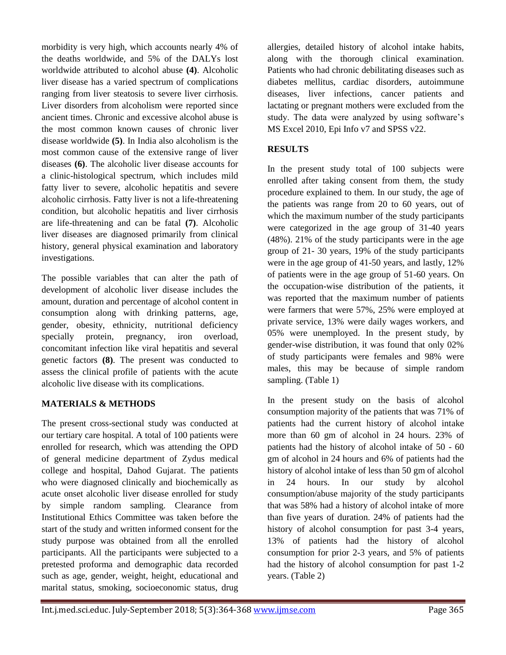morbidity is very high, which accounts nearly 4% of the deaths worldwide, and 5% of the DALYs lost worldwide attributed to alcohol abuse **(4)**. Alcoholic liver disease has a varied spectrum of complications ranging from liver steatosis to severe liver cirrhosis. Liver disorders from alcoholism were reported since ancient times. Chronic and excessive alcohol abuse is the most common known causes of chronic liver disease worldwide **(5)**. In India also alcoholism is the most common cause of the extensive range of liver diseases **(6)**. The alcoholic liver disease accounts for a clinic-histological spectrum, which includes mild fatty liver to severe, alcoholic hepatitis and severe alcoholic cirrhosis. Fatty liver is not a life-threatening condition, but alcoholic hepatitis and liver cirrhosis are life-threatening and can be fatal **(7)**. Alcoholic liver diseases are diagnosed primarily from clinical history, general physical examination and laboratory investigations.

The possible variables that can alter the path of development of alcoholic liver disease includes the amount, duration and percentage of alcohol content in consumption along with drinking patterns, age, gender, obesity, ethnicity, nutritional deficiency specially protein, pregnancy, iron overload, concomitant infection like viral hepatitis and several genetic factors **(8)**. The present was conducted to assess the clinical profile of patients with the acute alcoholic live disease with its complications.

#### **MATERIALS & METHODS**

The present cross-sectional study was conducted at our tertiary care hospital. A total of 100 patients were enrolled for research, which was attending the OPD of general medicine department of Zydus medical college and hospital, Dahod Gujarat. The patients who were diagnosed clinically and biochemically as acute onset alcoholic liver disease enrolled for study by simple random sampling. Clearance from Institutional Ethics Committee was taken before the start of the study and written informed consent for the study purpose was obtained from all the enrolled participants. All the participants were subjected to a pretested proforma and demographic data recorded such as age, gender, weight, height, educational and marital status, smoking, socioeconomic status, drug

allergies, detailed history of alcohol intake habits, along with the thorough clinical examination. Patients who had chronic debilitating diseases such as diabetes mellitus, cardiac disorders, autoimmune diseases, liver infections, cancer patients and lactating or pregnant mothers were excluded from the study. The data were analyzed by using software's MS Excel 2010, Epi Info v7 and SPSS v22.

#### **RESULTS**

In the present study total of 100 subjects were enrolled after taking consent from them, the study procedure explained to them. In our study, the age of the patients was range from 20 to 60 years, out of which the maximum number of the study participants were categorized in the age group of 31-40 years (48%). 21% of the study participants were in the age group of 21- 30 years, 19% of the study participants were in the age group of 41-50 years, and lastly, 12% of patients were in the age group of 51-60 years. On the occupation-wise distribution of the patients, it was reported that the maximum number of patients were farmers that were 57%, 25% were employed at private service, 13% were daily wages workers, and 05% were unemployed. In the present study, by gender-wise distribution, it was found that only 02% of study participants were females and 98% were males, this may be because of simple random sampling. (Table 1)

In the present study on the basis of alcohol consumption majority of the patients that was 71% of patients had the current history of alcohol intake more than 60 gm of alcohol in 24 hours. 23% of patients had the history of alcohol intake of 50 - 60 gm of alcohol in 24 hours and 6% of patients had the history of alcohol intake of less than 50 gm of alcohol in 24 hours. In our study by alcohol consumption/abuse majority of the study participants that was 58% had a history of alcohol intake of more than five years of duration. 24% of patients had the history of alcohol consumption for past 3-4 years, 13% of patients had the history of alcohol consumption for prior 2-3 years, and 5% of patients had the history of alcohol consumption for past 1-2 years. (Table 2)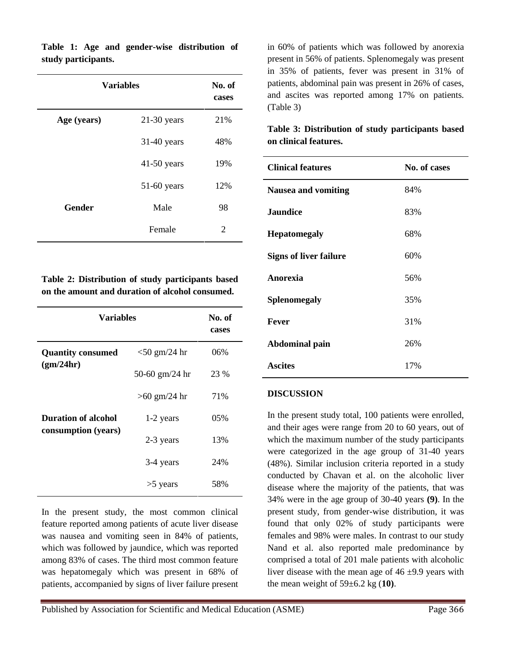|               | <b>Variables</b> |     |
|---------------|------------------|-----|
| Age (years)   | $21-30$ years    | 21% |
|               | $31-40$ years    | 48% |
|               | $41-50$ years    | 19% |
|               | $51-60$ years    | 12% |
| <b>Gender</b> | Male             | 98  |
|               | Female           | 2   |

**Table 1: Age and gender-wise distribution of study participants.**

**Table 2: Distribution of study participants based on the amount and duration of alcohol consumed.**

| <b>Variables</b>                                  |                         | No. of<br>cases |
|---------------------------------------------------|-------------------------|-----------------|
| <b>Quantity consumed</b><br>(gm/24hr)             | $<$ 50 gm/24 hr         | 06%             |
|                                                   | 50-60 $\text{gm}/24$ hr | 23 %            |
|                                                   | $>60$ gm/24 hr          | 71%             |
| <b>Duration of alcohol</b><br>consumption (years) | 1-2 years               | 05%             |
|                                                   | 2-3 years               | 13%             |
|                                                   | 3-4 years               | 24%             |
|                                                   | $>5$ years              | 58%             |

In the present study, the most common clinical feature reported among patients of acute liver disease was nausea and vomiting seen in 84% of patients, which was followed by jaundice, which was reported among 83% of cases. The third most common feature was hepatomegaly which was present in 68% of patients, accompanied by signs of liver failure present in 60% of patients which was followed by anorexia present in 56% of patients. Splenomegaly was present in 35% of patients, fever was present in 31% of patients, abdominal pain was present in 26% of cases, and ascites was reported among 17% on patients. (Table 3)

**Table 3: Distribution of study participants based on clinical features.**

| <b>Clinical features</b>      | No. of cases |
|-------------------------------|--------------|
| <b>Nausea and vomiting</b>    | 84%          |
| <b>Jaundice</b>               | 83%          |
| <b>Hepatomegaly</b>           | 68%          |
| <b>Signs of liver failure</b> | 60%          |
| Anorexia                      | 56%          |
| <b>Splenomegaly</b>           | 35%          |
| Fever                         | 31%          |
| Abdominal pain                | 26%          |
| <b>Ascites</b>                | 17%          |

#### **DISCUSSION**

In the present study total, 100 patients were enrolled, and their ages were range from 20 to 60 years, out of which the maximum number of the study participants were categorized in the age group of 31-40 years (48%). Similar inclusion criteria reported in a study conducted by Chavan et al. on the alcoholic liver disease where the majority of the patients, that was 34% were in the age group of 30-40 years **(9)**. In the present study, from gender-wise distribution, it was found that only 02% of study participants were females and 98% were males. In contrast to our study Nand et al. also reported male predominance by comprised a total of 201 male patients with alcoholic liver disease with the mean age of  $46 \pm 9.9$  years with the mean weight of 59±6.2 kg (**10)**.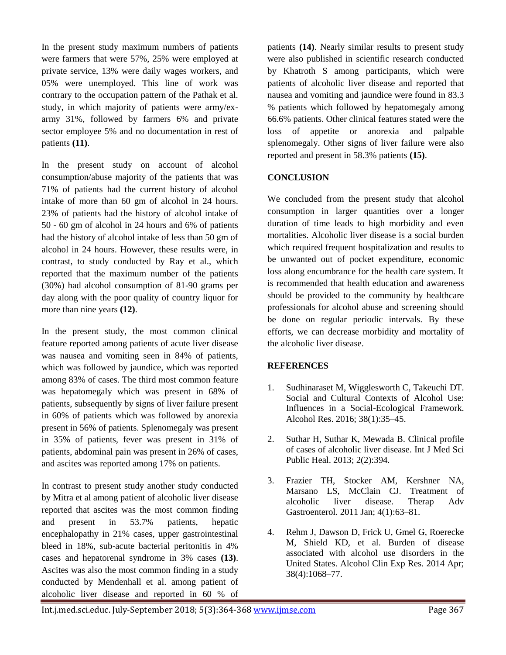In the present study maximum numbers of patients were farmers that were 57%, 25% were employed at private service, 13% were daily wages workers, and 05% were unemployed. This line of work was contrary to the occupation pattern of the Pathak et al. study, in which majority of patients were army/exarmy 31%, followed by farmers 6% and private sector employee 5% and no documentation in rest of patients **(11)**.

In the present study on account of alcohol consumption/abuse majority of the patients that was 71% of patients had the current history of alcohol intake of more than 60 gm of alcohol in 24 hours. 23% of patients had the history of alcohol intake of 50 - 60 gm of alcohol in 24 hours and 6% of patients had the history of alcohol intake of less than 50 gm of alcohol in 24 hours. However, these results were, in contrast, to study conducted by Ray et al., which reported that the maximum number of the patients (30%) had alcohol consumption of 81-90 grams per day along with the poor quality of country liquor for more than nine years **(12)**.

In the present study, the most common clinical feature reported among patients of acute liver disease was nausea and vomiting seen in 84% of patients, which was followed by jaundice, which was reported among 83% of cases. The third most common feature was hepatomegaly which was present in 68% of patients, subsequently by signs of liver failure present in 60% of patients which was followed by anorexia present in 56% of patients. Splenomegaly was present in 35% of patients, fever was present in 31% of patients, abdominal pain was present in 26% of cases, and ascites was reported among 17% on patients.

In contrast to present study another study conducted by Mitra et al among patient of alcoholic liver disease reported that ascites was the most common finding and present in 53.7% patients, hepatic encephalopathy in 21% cases, upper gastrointestinal bleed in 18%, sub-acute bacterial peritonitis in 4% cases and hepatorenal syndrome in 3% cases **(13)**. Ascites was also the most common finding in a study conducted by Mendenhall et al. among patient of alcoholic liver disease and reported in 60 % of

patients **(14)**. Nearly similar results to present study were also published in scientific research conducted by Khatroth S among participants, which were patients of alcoholic liver disease and reported that nausea and vomiting and jaundice were found in 83.3 % patients which followed by hepatomegaly among 66.6% patients. Other clinical features stated were the loss of appetite or anorexia and palpable splenomegaly. Other signs of liver failure were also reported and present in 58.3% patients **(15)**.

#### **CONCLUSION**

We concluded from the present study that alcohol consumption in larger quantities over a longer duration of time leads to high morbidity and even mortalities. Alcoholic liver disease is a social burden which required frequent hospitalization and results to be unwanted out of pocket expenditure, economic loss along encumbrance for the health care system. It is recommended that health education and awareness should be provided to the community by healthcare professionals for alcohol abuse and screening should be done on regular periodic intervals. By these efforts, we can decrease morbidity and mortality of the alcoholic liver disease.

#### **REFERENCES**

- 1. Sudhinaraset M, Wigglesworth C, Takeuchi DT. Social and Cultural Contexts of Alcohol Use: Influences in a Social-Ecological Framework. Alcohol Res. 2016; 38(1):35–45.
- 2. Suthar H, Suthar K, Mewada B. Clinical profile of cases of alcoholic liver disease. Int J Med Sci Public Heal. 2013; 2(2):394.
- 3. Frazier TH, Stocker AM, Kershner NA, Marsano LS, McClain CJ. Treatment of alcoholic liver disease. Therap Adv Gastroenterol. 2011 Jan; 4(1):63–81.
- 4. Rehm J, Dawson D, Frick U, Gmel G, Roerecke M, Shield KD, et al. Burden of disease associated with alcohol use disorders in the United States. Alcohol Clin Exp Res. 2014 Apr; 38(4):1068–77.